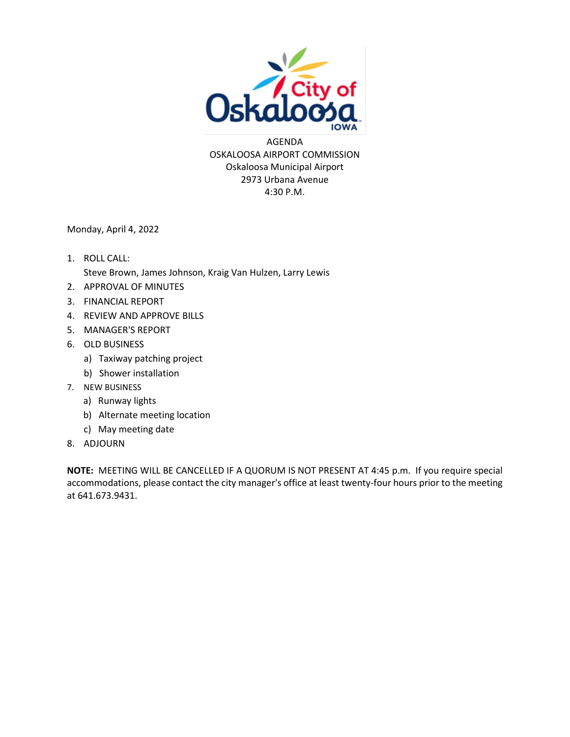

AGENDA OSKALOOSA AIRPORT COMMISSION Oskaloosa Municipal Airport 2973 Urbana Avenue 4:30 P.M.

Monday, April 4, 2022

- 1. ROLL CALL: Steve Brown, James Johnson, Kraig Van Hulzen, Larry Lewis
- 2. APPROVAL OF MINUTES
- 3. FINANCIAL REPORT
- 4. REVIEW AND APPROVE BILLS
- 5. MANAGER'S REPORT
- 6. OLD BUSINESS
	- a) Taxiway patching project
	- b) Shower installation
- 7. NEW BUSINESS
	- a) Runway lights
	- b) Alternate meeting location
	- c) May meeting date
- 8. ADJOURN

**NOTE:** MEETING WILL BE CANCELLED IF A QUORUM IS NOT PRESENT AT 4:45 p.m. If you require special accommodations, please contact the city manager's office at least twenty-four hours prior to the meeting at 641.673.9431.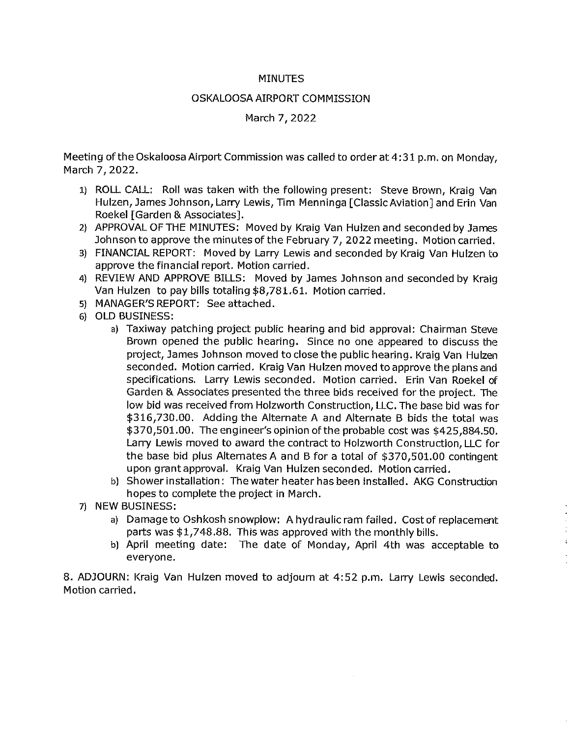### **MINUTES**

### OSKALOOSA AIRPORT COMMISSION

### March 7, 2022

Meeting of the Oskaloosa Airport Commission was called to order at 4:31 p.m. on Monday, March 7, 2022.

- 1) ROLL CALL: Roll was taken with the following present: Steve Brown, Kraig Van Hulzen, James Johnson, Larry Lewis, Tim Menninga [Classic Aviation] and Erin Van Roekel [Garden & Associates].
- 2) APPROVAL OF THE MINUTES: Moved by Kraig Van Hulzen and seconded by James Johnson to approve the minutes of the February 7, 2022 meeting. Motion carried.
- 3) FINANCIAL REPORT: Moved by Larry Lewis and seconded by Kraig Van Hulzen to approve the financial report. Motion carried.
- 4) REVIEW AND APPROVE BILLS: Moved by James Johnson and seconded by Kraig Van Hulzen to pay bills totaling \$8,781.61. Motion carried.
- 5) MANAGER'S REPORT: See attached.
- 6) OLD BUSINESS:
	- a) Taxiway patching project public hearing and bid approval: Chairman Steve Brown opened the public hearing. Since no one appeared to discuss the project, James Johnson moved to close the public hearing. Kraig Van Hulzen seconded. Motion carried. Kraig Van Hulzen moved to approve the plans and specifications. Larry Lewis seconded. Motion carried. Erin Van Roekel of Garden & Associates presented the three bids received for the project. The low bid was received from Holzworth Construction, LLC. The base bid was for \$316,730.00. Adding the Alternate A and Alternate B bids the total was \$370,501.00. The engineer's opinion of the probable cost was \$425,884.50. Larry Lewis moved to award the contract to Holzworth Construction, LLC for the base bid plus Alternates A and B for a total of \$370,501.00 contingent upon grant approval. Kraig Van Hulzen seconded. Motion carried.
	- b) Shower installation: The water heater has been installed. AKG Construction hopes to complete the project in March.
- 7) NEW BUSINESS:
	- a) Damage to Oshkosh snowplow: A hydraulic ram failed. Cost of replacement parts was \$1,748.88. This was approved with the monthly bills.
	- b) April meeting date: The date of Monday, April 4th was acceptable to everyone.

8. ADJOURN: Kraig Van Hulzen moved to adjourn at 4:52 p.m. Larry Lewis seconded. Motion carried.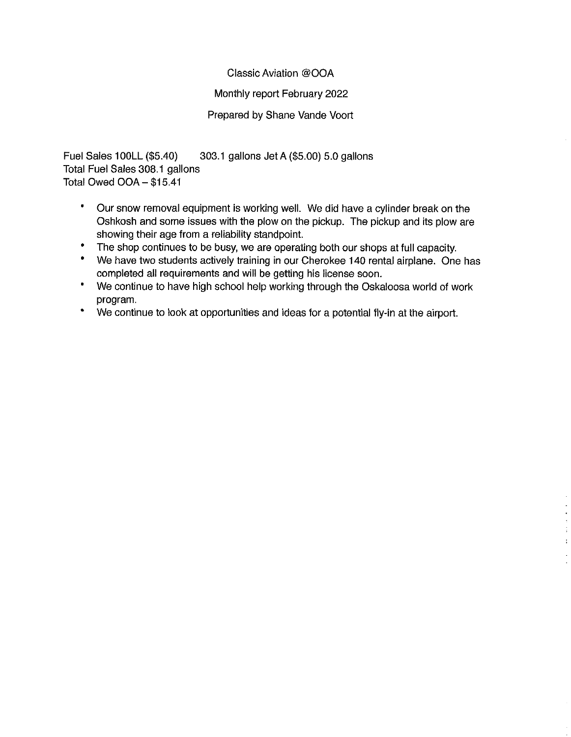### Classic Aviation @OOA

### Monthly report February 2022

### Prepared by Shane Vande Voort

Fuel Sales 100LL (\$5.40) 303.1 gallons Jet A (\$5.00) 5.0 gallons Total Fuel Sales 308.1 gallons Total Owed OOA - \$15.41

- $\bullet$ Our snow removal equipment is working well. We did have a cylinder break on the Oshkosh and some issues with the plow on the pickup. The pickup and its plow are showing their age from a reliability standpoint.
- The shop continues to be busy, we are operating both our shops at full capacity.
- $\bullet$ We have two students actively training in our Cherokee 140 rental airplane. One has completed all requirements and will be getting his license soon.
- $\bullet$ We continue to have high school help working through the Oskaloosa world of work program.

 $\overline{\phantom{a}}$  $\frac{1}{4}$  $\pm$ 

 $\bullet$ We continue to look at opportunities and ideas for a potential fly-in at the airport.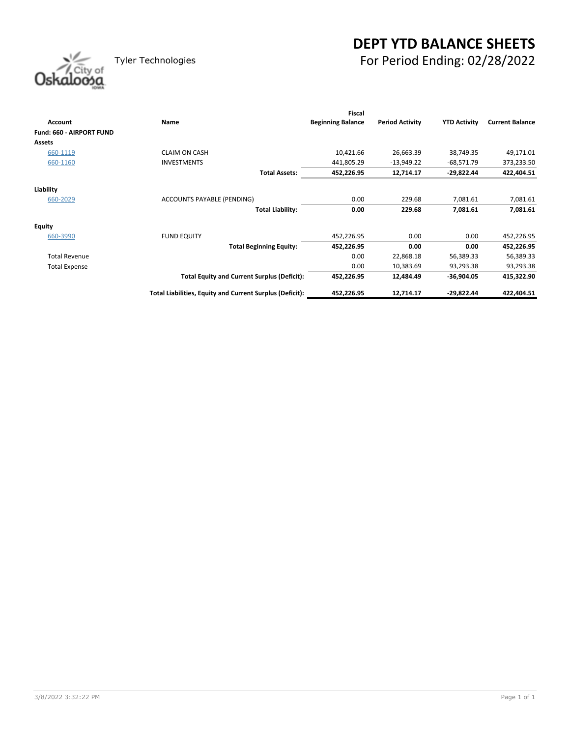## **DEPT YTD BALANCE SHEETS** Tyler Technologies For Period Ending: 02/28/2022

| Oskaloosa |
|-----------|
|           |

|                          |                                                          | <b>Fiscal</b>            |                        |                     |                        |
|--------------------------|----------------------------------------------------------|--------------------------|------------------------|---------------------|------------------------|
| Account                  | Name                                                     | <b>Beginning Balance</b> | <b>Period Activity</b> | <b>YTD Activity</b> | <b>Current Balance</b> |
| Fund: 660 - AIRPORT FUND |                                                          |                          |                        |                     |                        |
| <b>Assets</b>            |                                                          |                          |                        |                     |                        |
| 660-1119                 | <b>CLAIM ON CASH</b>                                     | 10,421.66                | 26,663.39              | 38,749.35           | 49,171.01              |
| 660-1160                 | <b>INVESTMENTS</b>                                       | 441,805.29               | $-13,949.22$           | $-68,571.79$        | 373,233.50             |
|                          | <b>Total Assets:</b>                                     | 452,226.95               | 12,714.17              | -29,822.44          | 422,404.51             |
| Liability                |                                                          |                          |                        |                     |                        |
| 660-2029                 | ACCOUNTS PAYABLE (PENDING)                               | 0.00                     | 229.68                 | 7,081.61            | 7,081.61               |
|                          | <b>Total Liability:</b>                                  | 0.00                     | 229.68                 | 7,081.61            | 7,081.61               |
| <b>Equity</b>            |                                                          |                          |                        |                     |                        |
| 660-3990                 | <b>FUND EQUITY</b>                                       | 452,226.95               | 0.00                   | 0.00                | 452,226.95             |
|                          | <b>Total Beginning Equity:</b>                           | 452,226.95               | 0.00                   | 0.00                | 452,226.95             |
| <b>Total Revenue</b>     |                                                          | 0.00                     | 22,868.18              | 56,389.33           | 56,389.33              |
| <b>Total Expense</b>     |                                                          | 0.00                     | 10,383.69              | 93,293.38           | 93,293.38              |
|                          | <b>Total Equity and Current Surplus (Deficit):</b>       | 452,226.95               | 12,484.49              | -36,904.05          | 415,322.90             |
|                          | Total Liabilities, Equity and Current Surplus (Deficit): | 452,226.95               | 12,714.17              | -29,822.44          | 422,404.51             |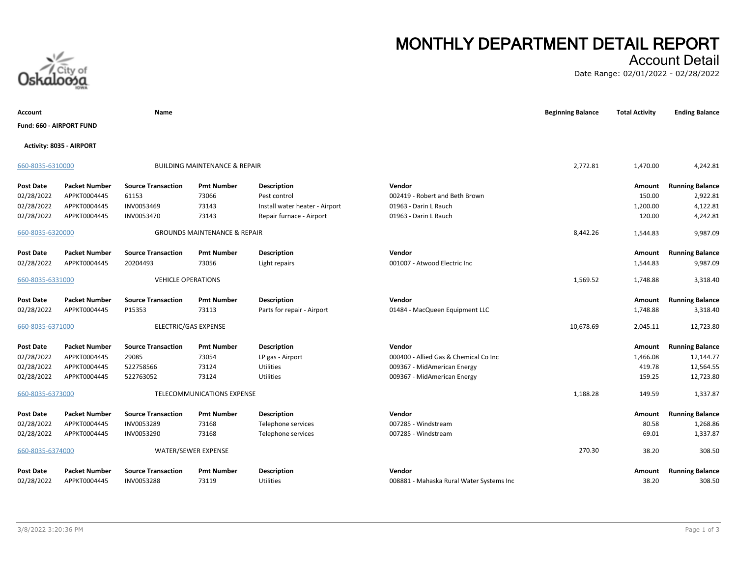

# **MONTHLY DEPARTMENT DETAIL REPORT**

## Account Detail

Date Range: 02/01/2022 - 02/28/2022

| Account                  |                          | Name                      |                                          |                                |                                          | <b>Beginning Balance</b> | <b>Total Activity</b> | <b>Ending Balance</b>  |
|--------------------------|--------------------------|---------------------------|------------------------------------------|--------------------------------|------------------------------------------|--------------------------|-----------------------|------------------------|
| Fund: 660 - AIRPORT FUND |                          |                           |                                          |                                |                                          |                          |                       |                        |
|                          | Activity: 8035 - AIRPORT |                           |                                          |                                |                                          |                          |                       |                        |
| 660-8035-6310000         |                          |                           | <b>BUILDING MAINTENANCE &amp; REPAIR</b> |                                |                                          | 2,772.81                 | 1,470.00              | 4,242.81               |
| <b>Post Date</b>         | <b>Packet Number</b>     | <b>Source Transaction</b> | <b>Pmt Number</b>                        | <b>Description</b>             | Vendor                                   |                          | Amount                | <b>Running Balance</b> |
| 02/28/2022               | APPKT0004445             | 61153                     | 73066                                    | Pest control                   | 002419 - Robert and Beth Brown           |                          | 150.00                | 2,922.81               |
| 02/28/2022               | APPKT0004445             | INV0053469                | 73143                                    | Install water heater - Airport | 01963 - Darin L Rauch                    |                          | 1,200.00              | 4,122.81               |
| 02/28/2022               | APPKT0004445             | INV0053470                | 73143                                    | Repair furnace - Airport       | 01963 - Darin L Rauch                    |                          | 120.00                | 4,242.81               |
| 660-8035-6320000         |                          |                           | <b>GROUNDS MAINTENANCE &amp; REPAIR</b>  |                                |                                          | 8,442.26                 | 1,544.83              | 9,987.09               |
| Post Date                | <b>Packet Number</b>     | <b>Source Transaction</b> | <b>Pmt Number</b>                        | <b>Description</b>             | Vendor                                   |                          | Amount                | <b>Running Balance</b> |
| 02/28/2022               | APPKT0004445             | 20204493                  | 73056                                    | Light repairs                  | 001007 - Atwood Electric Inc             |                          | 1,544.83              | 9,987.09               |
| 660-8035-6331000         |                          | <b>VEHICLE OPERATIONS</b> |                                          |                                |                                          | 1,569.52                 | 1,748.88              | 3,318.40               |
| <b>Post Date</b>         | <b>Packet Number</b>     | <b>Source Transaction</b> | <b>Pmt Number</b>                        | <b>Description</b>             | Vendor                                   |                          | Amount                | <b>Running Balance</b> |
| 02/28/2022               | APPKT0004445             | P15353                    | 73113                                    | Parts for repair - Airport     | 01484 - MacQueen Equipment LLC           |                          | 1,748.88              | 3,318.40               |
| 660-8035-6371000         |                          |                           | ELECTRIC/GAS EXPENSE                     |                                |                                          | 10,678.69                | 2,045.11              | 12,723.80              |
|                          |                          |                           |                                          |                                |                                          |                          |                       |                        |
| <b>Post Date</b>         | <b>Packet Number</b>     | <b>Source Transaction</b> | <b>Pmt Number</b>                        | <b>Description</b>             | Vendor                                   |                          | Amount                | <b>Running Balance</b> |
| 02/28/2022               | APPKT0004445             | 29085                     | 73054                                    | LP gas - Airport               | 000400 - Allied Gas & Chemical Co Inc    |                          | 1,466.08              | 12,144.77              |
| 02/28/2022               | APPKT0004445             | 522758566                 | 73124                                    | Utilities                      | 009367 - MidAmerican Energy              |                          | 419.78                | 12,564.55              |
| 02/28/2022               | APPKT0004445             | 522763052                 | 73124                                    | <b>Utilities</b>               | 009367 - MidAmerican Energy              |                          | 159.25                | 12,723.80              |
| 660-8035-6373000         |                          |                           | TELECOMMUNICATIONS EXPENSE               |                                |                                          | 1,188.28                 | 149.59                | 1,337.87               |
| <b>Post Date</b>         | <b>Packet Number</b>     | <b>Source Transaction</b> | <b>Pmt Number</b>                        | <b>Description</b>             | Vendor                                   |                          | Amount                | <b>Running Balance</b> |
| 02/28/2022               | APPKT0004445             | INV0053289                | 73168                                    | Telephone services             | 007285 - Windstream                      |                          | 80.58                 | 1,268.86               |
| 02/28/2022               | APPKT0004445             | INV0053290                | 73168                                    | Telephone services             | 007285 - Windstream                      |                          | 69.01                 | 1,337.87               |
| 660-8035-6374000         |                          |                           | WATER/SEWER EXPENSE                      |                                |                                          | 270.30                   | 38.20                 | 308.50                 |
| <b>Post Date</b>         | <b>Packet Number</b>     | <b>Source Transaction</b> | <b>Pmt Number</b>                        | Description                    | Vendor                                   |                          | Amount                | <b>Running Balance</b> |
| 02/28/2022               | APPKT0004445             | INV0053288                | 73119                                    | Utilities                      | 008881 - Mahaska Rural Water Systems Inc |                          | 38.20                 | 308.50                 |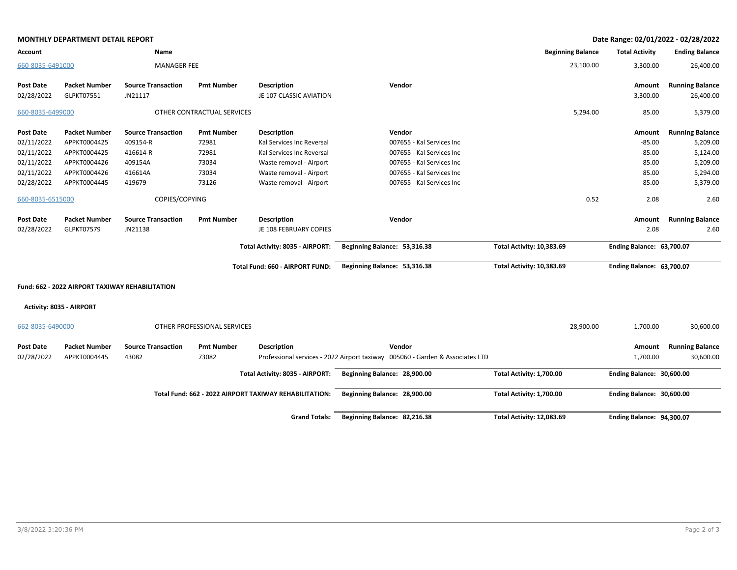|                         | <b>MONTHLY DEPARTMENT DETAIL REPORT</b>         |                                      |                             |                                                        |                                                                               |                           | Date Range: 02/01/2022 - 02/28/2022 |                                     |
|-------------------------|-------------------------------------------------|--------------------------------------|-----------------------------|--------------------------------------------------------|-------------------------------------------------------------------------------|---------------------------|-------------------------------------|-------------------------------------|
| Account                 |                                                 | Name                                 |                             |                                                        |                                                                               | <b>Beginning Balance</b>  | <b>Total Activity</b>               | <b>Ending Balance</b>               |
| 660-8035-6491000        |                                                 | <b>MANAGER FEE</b>                   |                             |                                                        |                                                                               | 23,100.00                 | 3,300.00                            | 26,400.00                           |
| Post Date<br>02/28/2022 | <b>Packet Number</b><br>GLPKT07551              | <b>Source Transaction</b><br>JN21117 | <b>Pmt Number</b>           | <b>Description</b><br>JE 107 CLASSIC AVIATION          | Vendor                                                                        |                           | Amount<br>3,300.00                  | <b>Running Balance</b><br>26,400.00 |
| 660-8035-6499000        |                                                 |                                      | OTHER CONTRACTUAL SERVICES  |                                                        |                                                                               | 5,294.00                  | 85.00                               | 5,379.00                            |
| Post Date               | <b>Packet Number</b>                            | <b>Source Transaction</b>            | <b>Pmt Number</b>           | <b>Description</b>                                     | Vendor                                                                        |                           | Amount                              | <b>Running Balance</b>              |
| 02/11/2022              | APPKT0004425                                    | 409154-R                             | 72981                       | Kal Services Inc Reversal                              | 007655 - Kal Services Inc                                                     |                           | $-85.00$                            | 5,209.00                            |
| 02/11/2022              | APPKT0004425                                    | 416614-R                             | 72981                       | Kal Services Inc Reversal                              | 007655 - Kal Services Inc                                                     |                           | $-85.00$                            | 5,124.00                            |
| 02/11/2022              | APPKT0004426                                    | 409154A                              | 73034                       | Waste removal - Airport                                | 007655 - Kal Services Inc                                                     |                           | 85.00                               | 5,209.00                            |
| 02/11/2022              | APPKT0004426                                    | 416614A                              | 73034                       | Waste removal - Airport                                | 007655 - Kal Services Inc                                                     |                           | 85.00                               | 5,294.00                            |
| 02/28/2022              | APPKT0004445                                    | 419679                               | 73126                       | Waste removal - Airport                                | 007655 - Kal Services Inc                                                     |                           | 85.00                               | 5,379.00                            |
| 660-8035-6515000        |                                                 | COPIES/COPYING                       |                             |                                                        |                                                                               | 0.52                      | 2.08                                | 2.60                                |
| Post Date               | <b>Packet Number</b>                            | <b>Source Transaction</b>            | <b>Pmt Number</b>           | <b>Description</b>                                     | Vendor                                                                        |                           | Amount                              | <b>Running Balance</b>              |
| 02/28/2022              | GLPKT07579                                      | JN21138                              |                             | JE 108 FEBRUARY COPIES                                 |                                                                               |                           | 2.08                                | 2.60                                |
|                         |                                                 |                                      |                             | Total Activity: 8035 - AIRPORT:                        | Beginning Balance: 53,316.38                                                  | Total Activity: 10,383.69 | <b>Ending Balance: 63,700.07</b>    |                                     |
|                         |                                                 |                                      |                             | Total Fund: 660 - AIRPORT FUND:                        | Beginning Balance: 53,316.38                                                  | Total Activity: 10,383.69 | <b>Ending Balance: 63,700.07</b>    |                                     |
|                         | Fund: 662 - 2022 AIRPORT TAXIWAY REHABILITATION |                                      |                             |                                                        |                                                                               |                           |                                     |                                     |
|                         | Activity: 8035 - AIRPORT                        |                                      |                             |                                                        |                                                                               |                           |                                     |                                     |
| 662-8035-6490000        |                                                 |                                      | OTHER PROFESSIONAL SERVICES |                                                        |                                                                               | 28,900.00                 | 1,700.00                            | 30,600.00                           |
| Post Date               | <b>Packet Number</b>                            | <b>Source Transaction</b>            | <b>Pmt Number</b>           | <b>Description</b>                                     | Vendor                                                                        |                           | Amount                              | <b>Running Balance</b>              |
| 02/28/2022              | APPKT0004445                                    | 43082                                | 73082                       |                                                        | Professional services - 2022 Airport taxiway 005060 - Garden & Associates LTD |                           | 1,700.00                            | 30,600.00                           |
|                         |                                                 |                                      |                             | Total Activity: 8035 - AIRPORT:                        | Beginning Balance: 28,900.00                                                  | Total Activity: 1,700.00  | Ending Balance: 30,600.00           |                                     |
|                         |                                                 |                                      |                             | Total Fund: 662 - 2022 AIRPORT TAXIWAY REHABILITATION: | Beginning Balance: 28,900.00                                                  | Total Activity: 1,700.00  | Ending Balance: 30,600.00           |                                     |
|                         |                                                 |                                      |                             | <b>Grand Totals:</b>                                   | Beginning Balance: 82,216.38                                                  | Total Activity: 12,083.69 | <b>Ending Balance: 94,300.07</b>    |                                     |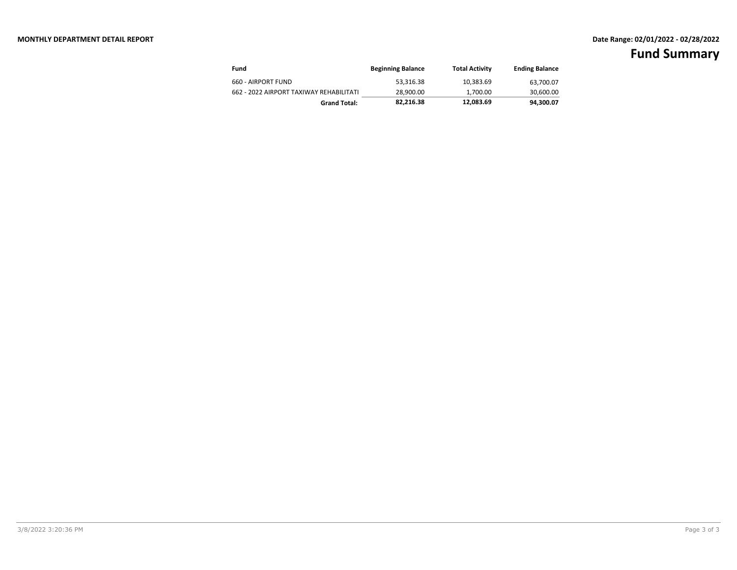## **MONTHLY DEPARTMENT DETAIL REPORT Date Range: 02/01/2022 - 02/28/2022**

| Fund                                    | <b>Beginning Balance</b> | <b>Total Activity</b> | <b>Ending Balance</b> |
|-----------------------------------------|--------------------------|-----------------------|-----------------------|
| 660 - AIRPORT FUND                      | 53.316.38                | 10.383.69             | 63.700.07             |
| 662 - 2022 AIRPORT TAXIWAY REHABILITATI | 28.900.00                | 1.700.00              | 30,600.00             |
| <b>Grand Total:</b>                     | 82.216.38                | 12.083.69             | 94,300.07             |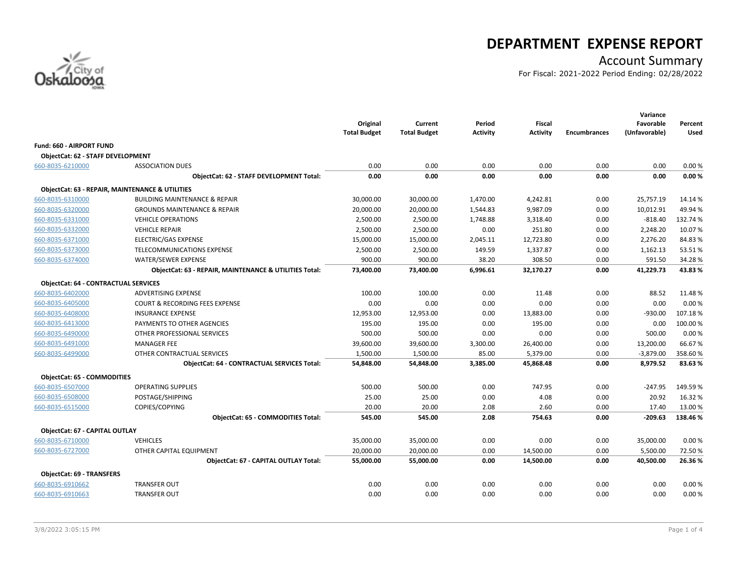

## **DEPARTMENT EXPENSE REPORT**

## Account Summary

For Fiscal: 2021-2022 Period Ending: 02/28/2022

|                                             |                                                        | Original<br><b>Total Budget</b> | Current<br><b>Total Budget</b> | Period<br><b>Activity</b> | <b>Fiscal</b><br><b>Activity</b> | <b>Encumbrances</b> | Variance<br>Favorable<br>(Unfavorable) | Percent<br>Used |
|---------------------------------------------|--------------------------------------------------------|---------------------------------|--------------------------------|---------------------------|----------------------------------|---------------------|----------------------------------------|-----------------|
| <b>Fund: 660 - AIRPORT FUND</b>             |                                                        |                                 |                                |                           |                                  |                     |                                        |                 |
| <b>ObjectCat: 62 - STAFF DEVELOPMENT</b>    |                                                        |                                 |                                |                           |                                  |                     |                                        |                 |
| 660-8035-6210000                            | <b>ASSOCIATION DUES</b>                                | 0.00                            | 0.00                           | 0.00                      | 0.00                             | 0.00                | 0.00                                   | 0.00%           |
|                                             | ObjectCat: 62 - STAFF DEVELOPMENT Total:               | 0.00                            | 0.00                           | 0.00                      | 0.00                             | 0.00                | 0.00                                   | 0.00%           |
|                                             | ObjectCat: 63 - REPAIR, MAINTENANCE & UTILITIES        |                                 |                                |                           |                                  |                     |                                        |                 |
| 660-8035-6310000                            | <b>BUILDING MAINTENANCE &amp; REPAIR</b>               | 30,000.00                       | 30,000.00                      | 1,470.00                  | 4,242.81                         | 0.00                | 25,757.19                              | 14.14 %         |
| 660-8035-6320000                            | <b>GROUNDS MAINTENANCE &amp; REPAIR</b>                | 20,000.00                       | 20,000.00                      | 1,544.83                  | 9,987.09                         | 0.00                | 10,012.91                              | 49.94%          |
| 660-8035-6331000                            | <b>VEHICLE OPERATIONS</b>                              | 2,500.00                        | 2,500.00                       | 1,748.88                  | 3,318.40                         | 0.00                | $-818.40$                              | 132.74 %        |
| 660-8035-6332000                            | <b>VEHICLE REPAIR</b>                                  | 2,500.00                        | 2,500.00                       | 0.00                      | 251.80                           | 0.00                | 2,248.20                               | 10.07%          |
| 660-8035-6371000                            | <b>ELECTRIC/GAS EXPENSE</b>                            | 15,000.00                       | 15,000.00                      | 2,045.11                  | 12,723.80                        | 0.00                | 2,276.20                               | 84.83%          |
| 660-8035-6373000                            | TELECOMMUNICATIONS EXPENSE                             | 2,500.00                        | 2,500.00                       | 149.59                    | 1,337.87                         | 0.00                | 1,162.13                               | 53.51%          |
| 660-8035-6374000                            | <b>WATER/SEWER EXPENSE</b>                             | 900.00                          | 900.00                         | 38.20                     | 308.50                           | 0.00                | 591.50                                 | 34.28%          |
|                                             | ObjectCat: 63 - REPAIR, MAINTENANCE & UTILITIES Total: | 73,400.00                       | 73,400.00                      | 6,996.61                  | 32,170.27                        | 0.00                | 41,229.73                              | 43.83%          |
| <b>ObjectCat: 64 - CONTRACTUAL SERVICES</b> |                                                        |                                 |                                |                           |                                  |                     |                                        |                 |
| 660-8035-6402000                            | <b>ADVERTISING EXPENSE</b>                             | 100.00                          | 100.00                         | 0.00                      | 11.48                            | 0.00                | 88.52                                  | 11.48%          |
| 660-8035-6405000                            | <b>COURT &amp; RECORDING FEES EXPENSE</b>              | 0.00                            | 0.00                           | 0.00                      | 0.00                             | 0.00                | 0.00                                   | 0.00%           |
| 660-8035-6408000                            | <b>INSURANCE EXPENSE</b>                               | 12,953.00                       | 12,953.00                      | 0.00                      | 13,883.00                        | 0.00                | $-930.00$                              | 107.18%         |
| 660-8035-6413000                            | PAYMENTS TO OTHER AGENCIES                             | 195.00                          | 195.00                         | 0.00                      | 195.00                           | 0.00                | 0.00                                   | 100.00%         |
| 660-8035-6490000                            | OTHER PROFESSIONAL SERVICES                            | 500.00                          | 500.00                         | 0.00                      | 0.00                             | 0.00                | 500.00                                 | 0.00%           |
| 660-8035-6491000                            | <b>MANAGER FEE</b>                                     | 39,600.00                       | 39,600.00                      | 3,300.00                  | 26,400.00                        | 0.00                | 13,200.00                              | 66.67%          |
| 660-8035-6499000                            | OTHER CONTRACTUAL SERVICES                             | 1,500.00                        | 1,500.00                       | 85.00                     | 5,379.00                         | 0.00                | $-3,879.00$                            | 358.60%         |
|                                             | <b>ObjectCat: 64 - CONTRACTUAL SERVICES Total:</b>     | 54,848.00                       | 54,848.00                      | 3,385.00                  | 45,868.48                        | 0.00                | 8,979.52                               | 83.63%          |
| <b>ObjectCat: 65 - COMMODITIES</b>          |                                                        |                                 |                                |                           |                                  |                     |                                        |                 |
| 660-8035-6507000                            | <b>OPERATING SUPPLIES</b>                              | 500.00                          | 500.00                         | 0.00                      | 747.95                           | 0.00                | $-247.95$                              | 149.59%         |
| 660-8035-6508000                            | POSTAGE/SHIPPING                                       | 25.00                           | 25.00                          | 0.00                      | 4.08                             | 0.00                | 20.92                                  | 16.32%          |
| 660-8035-6515000                            | COPIES/COPYING                                         | 20.00                           | 20.00                          | 2.08                      | 2.60                             | 0.00                | 17.40                                  | 13.00%          |
|                                             | <b>ObjectCat: 65 - COMMODITIES Total:</b>              | 545.00                          | 545.00                         | 2.08                      | 754.63                           | 0.00                | $-209.63$                              | 138.46%         |
| ObjectCat: 67 - CAPITAL OUTLAY              |                                                        |                                 |                                |                           |                                  |                     |                                        |                 |
| 660-8035-6710000                            | <b>VEHICLES</b>                                        | 35,000.00                       | 35,000.00                      | 0.00                      | 0.00                             | 0.00                | 35,000.00                              | 0.00%           |
| 660-8035-6727000                            | OTHER CAPITAL EQUIPMENT                                | 20,000.00                       | 20,000.00                      | 0.00                      | 14,500.00                        | 0.00                | 5,500.00                               | 72.50%          |
|                                             | <b>ObjectCat: 67 - CAPITAL OUTLAY Total:</b>           | 55,000.00                       | 55,000.00                      | 0.00                      | 14,500.00                        | 0.00                | 40,500.00                              | 26.36%          |
| <b>ObjectCat: 69 - TRANSFERS</b>            |                                                        |                                 |                                |                           |                                  |                     |                                        |                 |
| 660-8035-6910662                            | <b>TRANSFER OUT</b>                                    | 0.00                            | 0.00                           | 0.00                      | 0.00                             | 0.00                | 0.00                                   | 0.00%           |
| 660-8035-6910663                            | <b>TRANSFER OUT</b>                                    | 0.00                            | 0.00                           | 0.00                      | 0.00                             | 0.00                | 0.00                                   | 0.00%           |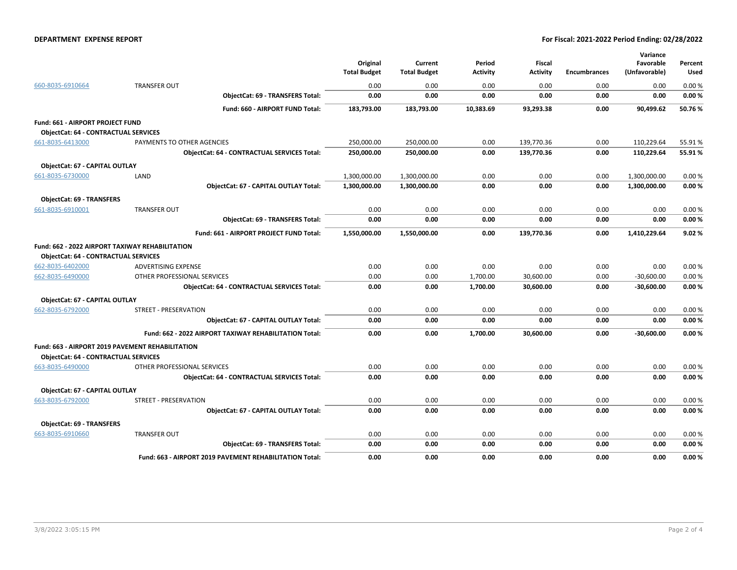### **DEPARTMENT EXPENSE REPORT For Fiscal: 2021-2022 Period Ending: 02/28/2022**

|                                                        |                                                         | Original<br><b>Total Budget</b> | Current<br><b>Total Budget</b> | Period<br>Activity | Fiscal<br>Activity | <b>Encumbrances</b> | Variance<br>Favorable<br>(Unfavorable) | Percent<br>Used |
|--------------------------------------------------------|---------------------------------------------------------|---------------------------------|--------------------------------|--------------------|--------------------|---------------------|----------------------------------------|-----------------|
| 660-8035-6910664                                       | <b>TRANSFER OUT</b>                                     | 0.00                            | 0.00                           | 0.00               | 0.00               | 0.00                | 0.00                                   | 0.00%           |
|                                                        | <b>ObjectCat: 69 - TRANSFERS Total:</b>                 | 0.00                            | 0.00                           | 0.00               | 0.00               | 0.00                | 0.00                                   | 0.00%           |
|                                                        | Fund: 660 - AIRPORT FUND Total:                         | 183,793.00                      | 183,793.00                     | 10,383.69          | 93,293.38          | 0.00                | 90,499.62                              | 50.76%          |
| Fund: 661 - AIRPORT PROJECT FUND                       |                                                         |                                 |                                |                    |                    |                     |                                        |                 |
| <b>ObjectCat: 64 - CONTRACTUAL SERVICES</b>            |                                                         |                                 |                                |                    |                    |                     |                                        |                 |
| 661-8035-6413000                                       | PAYMENTS TO OTHER AGENCIES                              | 250,000.00                      | 250,000.00                     | 0.00               | 139,770.36         | 0.00                | 110,229.64                             | 55.91%          |
|                                                        | <b>ObjectCat: 64 - CONTRACTUAL SERVICES Total:</b>      | 250,000.00                      | 250,000.00                     | 0.00               | 139,770.36         | 0.00                | 110,229.64                             | 55.91%          |
| ObjectCat: 67 - CAPITAL OUTLAY                         |                                                         |                                 |                                |                    |                    |                     |                                        |                 |
| 661-8035-6730000                                       | LAND                                                    | 1,300,000.00                    | 1,300,000.00                   | 0.00               | 0.00               | 0.00                | 1,300,000.00                           | 0.00%           |
|                                                        | ObjectCat: 67 - CAPITAL OUTLAY Total:                   | 1,300,000.00                    | 1,300,000.00                   | 0.00               | 0.00               | 0.00                | 1,300,000.00                           | 0.00%           |
| <b>ObjectCat: 69 - TRANSFERS</b>                       |                                                         |                                 |                                |                    |                    |                     |                                        |                 |
| 661-8035-6910001                                       | <b>TRANSFER OUT</b>                                     | 0.00                            | 0.00                           | 0.00               | 0.00               | 0.00                | 0.00                                   | 0.00%           |
|                                                        | <b>ObjectCat: 69 - TRANSFERS Total:</b>                 | 0.00                            | 0.00                           | 0.00               | 0.00               | 0.00                | 0.00                                   | 0.00%           |
|                                                        | Fund: 661 - AIRPORT PROJECT FUND Total:                 | 1,550,000.00                    | 1,550,000.00                   | 0.00               | 139,770.36         | 0.00                | 1,410,229.64                           | 9.02%           |
| <b>Fund: 662 - 2022 AIRPORT TAXIWAY REHABILITATION</b> |                                                         |                                 |                                |                    |                    |                     |                                        |                 |
| <b>ObjectCat: 64 - CONTRACTUAL SERVICES</b>            |                                                         |                                 |                                |                    |                    |                     |                                        |                 |
| 662-8035-6402000                                       | <b>ADVERTISING EXPENSE</b>                              | 0.00                            | 0.00                           | 0.00               | 0.00               | 0.00                | 0.00                                   | 0.00%           |
| 662-8035-6490000                                       | OTHER PROFESSIONAL SERVICES                             | 0.00                            | 0.00                           | 1,700.00           | 30,600.00          | 0.00                | $-30,600.00$                           | 0.00%           |
|                                                        | <b>ObjectCat: 64 - CONTRACTUAL SERVICES Total:</b>      | 0.00                            | 0.00                           | 1,700.00           | 30,600.00          | 0.00                | $-30,600.00$                           | 0.00%           |
| ObjectCat: 67 - CAPITAL OUTLAY                         |                                                         |                                 |                                |                    |                    |                     |                                        |                 |
| 662-8035-6792000                                       | STREET - PRESERVATION                                   | 0.00                            | 0.00                           | 0.00               | 0.00               | 0.00                | 0.00                                   | 0.00%           |
|                                                        | ObjectCat: 67 - CAPITAL OUTLAY Total:                   | 0.00                            | 0.00                           | 0.00               | 0.00               | 0.00                | 0.00                                   | 0.00%           |
|                                                        | Fund: 662 - 2022 AIRPORT TAXIWAY REHABILITATION Total:  | 0.00                            | 0.00                           | 1,700.00           | 30,600.00          | 0.00                | $-30,600.00$                           | 0.00%           |
|                                                        | Fund: 663 - AIRPORT 2019 PAVEMENT REHABILITATION        |                                 |                                |                    |                    |                     |                                        |                 |
| <b>ObjectCat: 64 - CONTRACTUAL SERVICES</b>            |                                                         |                                 |                                |                    |                    |                     |                                        |                 |
| 663-8035-6490000                                       | OTHER PROFESSIONAL SERVICES                             | 0.00                            | 0.00                           | 0.00               | 0.00               | 0.00                | 0.00                                   | 0.00%           |
|                                                        | <b>ObjectCat: 64 - CONTRACTUAL SERVICES Total:</b>      | 0.00                            | 0.00                           | 0.00               | 0.00               | 0.00                | 0.00                                   | 0.00%           |
| ObjectCat: 67 - CAPITAL OUTLAY                         |                                                         |                                 |                                |                    |                    |                     |                                        |                 |
| 663-8035-6792000                                       | <b>STREET - PRESERVATION</b>                            | 0.00                            | 0.00                           | 0.00               | 0.00               | 0.00                | 0.00                                   | 0.00%           |
|                                                        | ObjectCat: 67 - CAPITAL OUTLAY Total:                   | 0.00                            | 0.00                           | 0.00               | 0.00               | 0.00                | 0.00                                   | 0.00%           |
| ObjectCat: 69 - TRANSFERS                              |                                                         |                                 |                                |                    |                    |                     |                                        |                 |
| 663-8035-6910660                                       | <b>TRANSFER OUT</b>                                     | 0.00                            | 0.00                           | 0.00               | 0.00               | 0.00                | 0.00                                   | 0.00%           |
|                                                        | <b>ObjectCat: 69 - TRANSFERS Total:</b>                 | 0.00                            | 0.00                           | 0.00               | 0.00               | 0.00                | 0.00                                   | 0.00%           |
|                                                        | Fund: 663 - AIRPORT 2019 PAVEMENT REHABILITATION Total: | 0.00                            | 0.00                           | 0.00               | 0.00               | 0.00                | 0.00                                   | 0.00%           |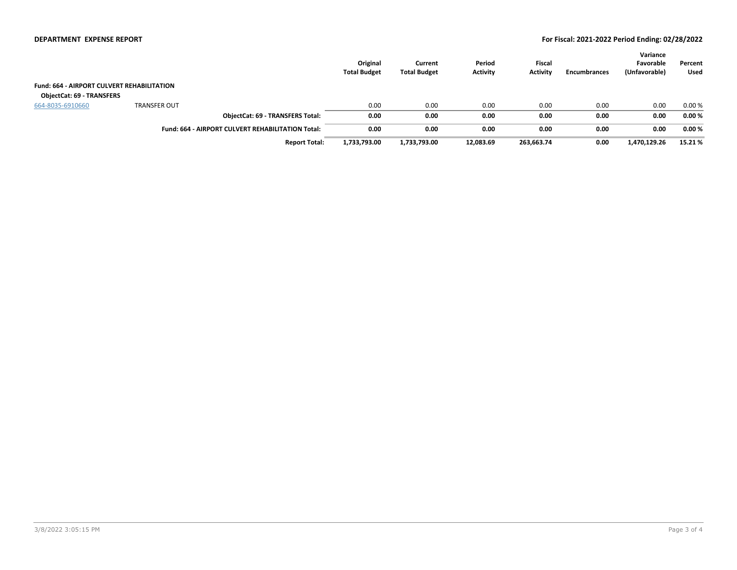|                                                   |                                                          | Original<br><b>Total Budget</b> | Current<br><b>Total Budget</b> | Period<br><b>Activity</b> | <b>Fiscal</b><br><b>Activity</b> | Encumbrances | Variance<br>Favorable<br>(Unfavorable) | Percent<br>Used |
|---------------------------------------------------|----------------------------------------------------------|---------------------------------|--------------------------------|---------------------------|----------------------------------|--------------|----------------------------------------|-----------------|
| <b>Fund: 664 - AIRPORT CULVERT REHABILITATION</b> |                                                          |                                 |                                |                           |                                  |              |                                        |                 |
| <b>ObjectCat: 69 - TRANSFERS</b>                  |                                                          |                                 |                                |                           |                                  |              |                                        |                 |
| 664-8035-6910660                                  | <b>TRANSFER OUT</b>                                      | 0.00                            | 0.00                           | 0.00                      | 0.00                             | 0.00         | 0.00                                   | 0.00%           |
|                                                   | <b>ObjectCat: 69 - TRANSFERS Total:</b>                  | 0.00                            | 0.00                           | 0.00                      | 0.00                             | 0.00         | 0.00                                   | 0.00%           |
|                                                   | <b>Fund: 664 - AIRPORT CULVERT REHABILITATION Total:</b> | 0.00                            | 0.00                           | 0.00                      | 0.00                             | 0.00         | 0.00                                   | 0.00%           |
|                                                   | <b>Report Total:</b>                                     | 1,733,793.00                    | 1,733,793.00                   | 12,083.69                 | 263,663.74                       | 0.00         | 1,470,129.26                           | 15.21%          |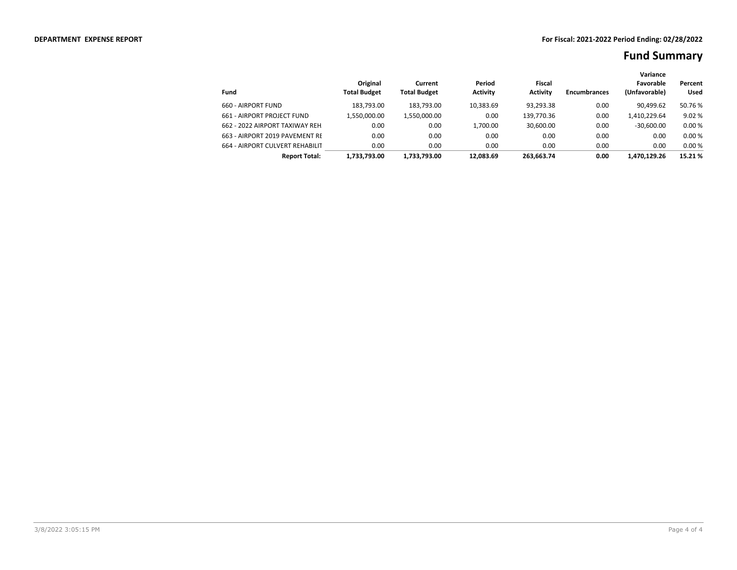|                                 |                                 |                                |                           |                           |                     | Variance                   |                        |
|---------------------------------|---------------------------------|--------------------------------|---------------------------|---------------------------|---------------------|----------------------------|------------------------|
| Fund                            | Original<br><b>Total Budget</b> | Current<br><b>Total Budget</b> | Period<br><b>Activity</b> | Fiscal<br><b>Activity</b> | <b>Encumbrances</b> | Favorable<br>(Unfavorable) | Percent<br><b>Used</b> |
| 660 - AIRPORT FUND              | 183.793.00                      | 183.793.00                     | 10,383.69                 | 93,293.38                 | 0.00                | 90.499.62                  | 50.76 %                |
| 661 - AIRPORT PROJECT FUND      | 1.550.000.00                    | 1,550,000.00                   | 0.00                      | 139,770.36                | 0.00                | 1,410,229.64               | 9.02%                  |
| 662 - 2022 AIRPORT TAXIWAY REH. | 0.00                            | 0.00                           | 1.700.00                  | 30.600.00                 | 0.00                | $-30.600.00$               | 0.00%                  |
| 663 - AIRPORT 2019 PAVEMENT RE  | 0.00                            | 0.00                           | 0.00                      | 0.00                      | 0.00                | 0.00                       | 0.00%                  |
| 664 - AIRPORT CULVERT REHABILIT | 0.00                            | 0.00                           | 0.00                      | 0.00                      | 0.00                | 0.00                       | 0.00%                  |
| <b>Report Total:</b>            | 1.733.793.00                    | 1.733.793.00                   | 12.083.69                 | 263.663.74                | 0.00                | 1.470.129.26               | 15.21 %                |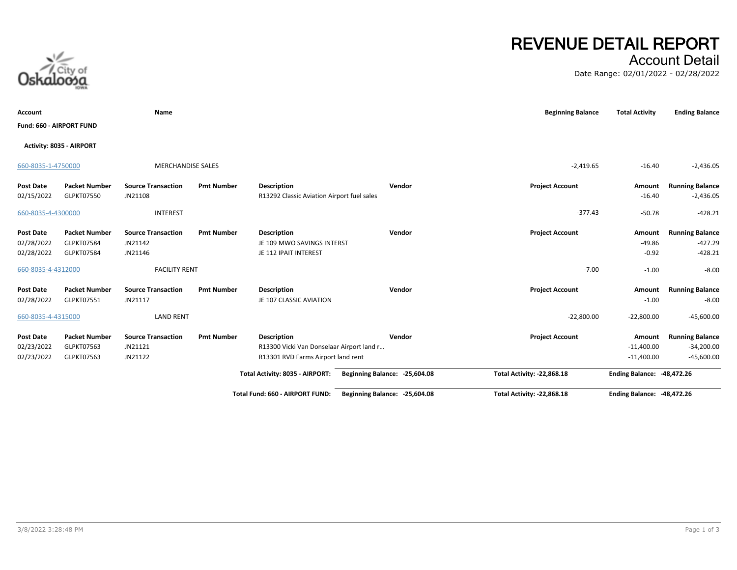# Account Detail

Date Range: 02/01/2022 - 02/28/2022

| Account                  |                          | Name                      |                   |                                            |                               | <b>Beginning Balance</b>          | <b>Total Activity</b>             | <b>Ending Balance</b>  |
|--------------------------|--------------------------|---------------------------|-------------------|--------------------------------------------|-------------------------------|-----------------------------------|-----------------------------------|------------------------|
| Fund: 660 - AIRPORT FUND |                          |                           |                   |                                            |                               |                                   |                                   |                        |
|                          | Activity: 8035 - AIRPORT |                           |                   |                                            |                               |                                   |                                   |                        |
| 660-8035-1-4750000       |                          | <b>MERCHANDISE SALES</b>  |                   |                                            |                               | $-2,419.65$                       | $-16.40$                          | $-2,436.05$            |
| Post Date                | <b>Packet Number</b>     | <b>Source Transaction</b> | <b>Pmt Number</b> | <b>Description</b>                         | Vendor                        | <b>Project Account</b>            | Amount                            | <b>Running Balance</b> |
| 02/15/2022               | GLPKT07550               | JN21108                   |                   | R13292 Classic Aviation Airport fuel sales |                               |                                   | $-16.40$                          | $-2,436.05$            |
| 660-8035-4-4300000       |                          | <b>INTEREST</b>           |                   |                                            |                               | $-377.43$                         | $-50.78$                          | $-428.21$              |
| Post Date                | <b>Packet Number</b>     | <b>Source Transaction</b> | <b>Pmt Number</b> | <b>Description</b>                         | Vendor                        | <b>Project Account</b>            | Amount                            | <b>Running Balance</b> |
| 02/28/2022               | GLPKT07584               | JN21142                   |                   | JE 109 MWO SAVINGS INTERST                 |                               |                                   | $-49.86$                          | $-427.29$              |
| 02/28/2022               | GLPKT07584               | JN21146                   |                   | JE 112 IPAIT INTEREST                      |                               |                                   | $-0.92$                           | $-428.21$              |
| 660-8035-4-4312000       |                          | <b>FACILITY RENT</b>      |                   |                                            |                               | $-7.00$                           | $-1.00$                           | $-8.00$                |
| Post Date                | <b>Packet Number</b>     | <b>Source Transaction</b> | <b>Pmt Number</b> | <b>Description</b>                         | Vendor                        | <b>Project Account</b>            | Amount                            | <b>Running Balance</b> |
| 02/28/2022               | GLPKT07551               | JN21117                   |                   | JE 107 CLASSIC AVIATION                    |                               |                                   | $-1.00$                           | $-8.00$                |
| 660-8035-4-4315000       |                          | <b>LAND RENT</b>          |                   |                                            |                               | $-22,800.00$                      | $-22,800.00$                      | $-45,600.00$           |
| Post Date                | <b>Packet Number</b>     | <b>Source Transaction</b> | <b>Pmt Number</b> | <b>Description</b>                         | Vendor                        | <b>Project Account</b>            | Amount                            | <b>Running Balance</b> |
| 02/23/2022               | GLPKT07563               | JN21121                   |                   | R13300 Vicki Van Donselaar Airport land r  |                               |                                   | $-11,400.00$                      | $-34,200.00$           |
| 02/23/2022               | GLPKT07563               | JN21122                   |                   | R13301 RVD Farms Airport land rent         |                               |                                   | $-11,400.00$                      | $-45,600.00$           |
|                          |                          |                           |                   | Total Activity: 8035 - AIRPORT:            | Beginning Balance: -25,604.08 | <b>Total Activity: -22,868.18</b> | <b>Ending Balance: -48,472.26</b> |                        |
|                          |                          |                           |                   | <b>Total Fund: 660 - AIRPORT FUND:</b>     | Beginning Balance: -25,604.08 | Total Activity: -22,868.18        | <b>Ending Balance: -48,472.26</b> |                        |



**REVENUE DETAIL REPORT**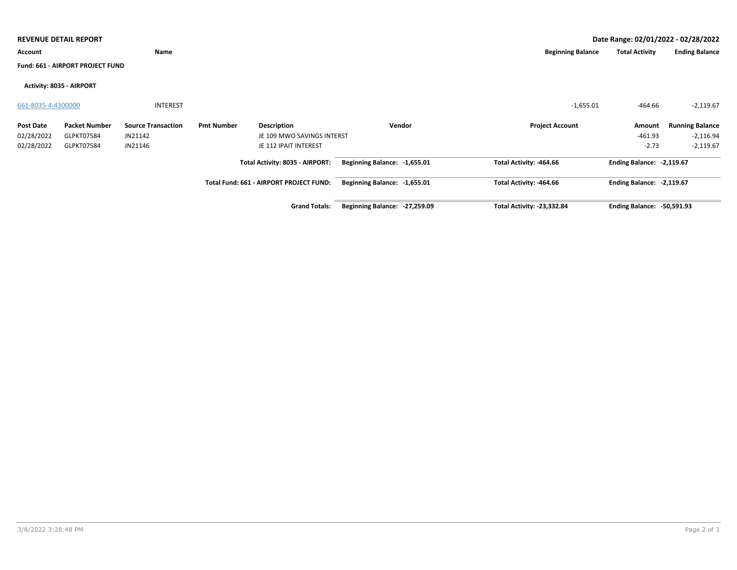|                    | Date Range: 02/01/2022 - 02/28/2022<br><b>REVENUE DETAIL REPORT</b> |                           |                   |                                         |                               |                                   |                                   |                        |  |  |
|--------------------|---------------------------------------------------------------------|---------------------------|-------------------|-----------------------------------------|-------------------------------|-----------------------------------|-----------------------------------|------------------------|--|--|
| Account            |                                                                     | Name                      |                   |                                         |                               | <b>Beginning Balance</b>          | <b>Total Activity</b>             | <b>Ending Balance</b>  |  |  |
|                    | Fund: 661 - AIRPORT PROJECT FUND                                    |                           |                   |                                         |                               |                                   |                                   |                        |  |  |
|                    | Activity: 8035 - AIRPORT                                            |                           |                   |                                         |                               |                                   |                                   |                        |  |  |
| 661-8035-4-4300000 |                                                                     | <b>INTEREST</b>           |                   |                                         |                               | $-1,655.01$                       | $-464.66$                         | $-2,119.67$            |  |  |
| <b>Post Date</b>   | <b>Packet Number</b>                                                | <b>Source Transaction</b> | <b>Pmt Number</b> | <b>Description</b>                      | Vendor                        | <b>Project Account</b>            | Amount                            | <b>Running Balance</b> |  |  |
| 02/28/2022         | GLPKT07584                                                          | JN21142                   |                   | JE 109 MWO SAVINGS INTERST              |                               |                                   | $-461.93$                         | $-2,116.94$            |  |  |
| 02/28/2022         | GLPKT07584                                                          | JN21146                   |                   | JE 112 IPAIT INTEREST                   |                               |                                   | $-2.73$                           | $-2,119.67$            |  |  |
|                    |                                                                     |                           |                   | Total Activity: 8035 - AIRPORT:         | Beginning Balance: -1,655.01  | Total Activity: -464.66           | Ending Balance: - 2,119.67        |                        |  |  |
|                    |                                                                     |                           |                   | Total Fund: 661 - AIRPORT PROJECT FUND: | Beginning Balance: -1,655.01  | Total Activity: -464.66           | Ending Balance: -2,119.67         |                        |  |  |
|                    |                                                                     |                           |                   | <b>Grand Totals:</b>                    | Beginning Balance: -27,259.09 | <b>Total Activity: -23,332.84</b> | <b>Ending Balance: -50,591.93</b> |                        |  |  |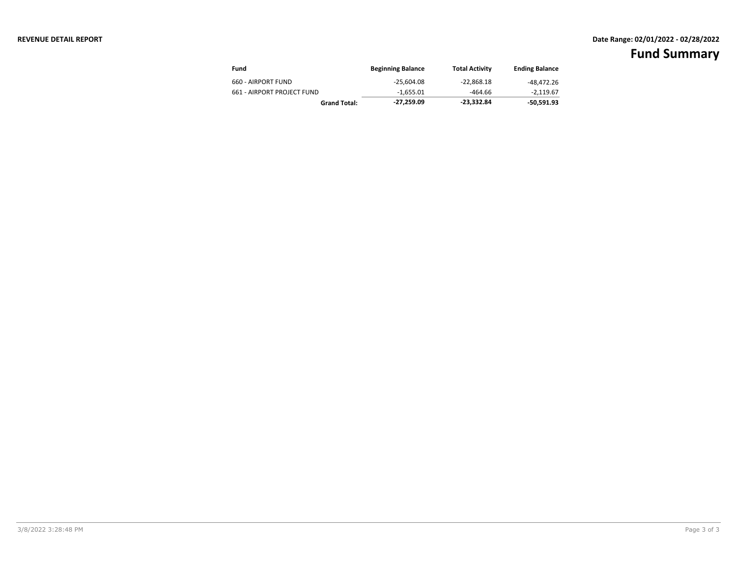## **REVENUE DETAIL REPORT Date Range: 02/01/2022 - 02/28/2022**

| Fund                       | <b>Beginning Balance</b> | <b>Total Activity</b> | <b>Ending Balance</b> |
|----------------------------|--------------------------|-----------------------|-----------------------|
| 660 - AIRPORT FUND         | $-25.604.08$             | $-22.868.18$          | -48,472.26            |
| 661 - AIRPORT PROJECT FUND | -1.655.01                | $-464.66$             | -2.119.67             |
| <b>Grand Total:</b>        | -27.259.09               | -23.332.84            | -50,591.93            |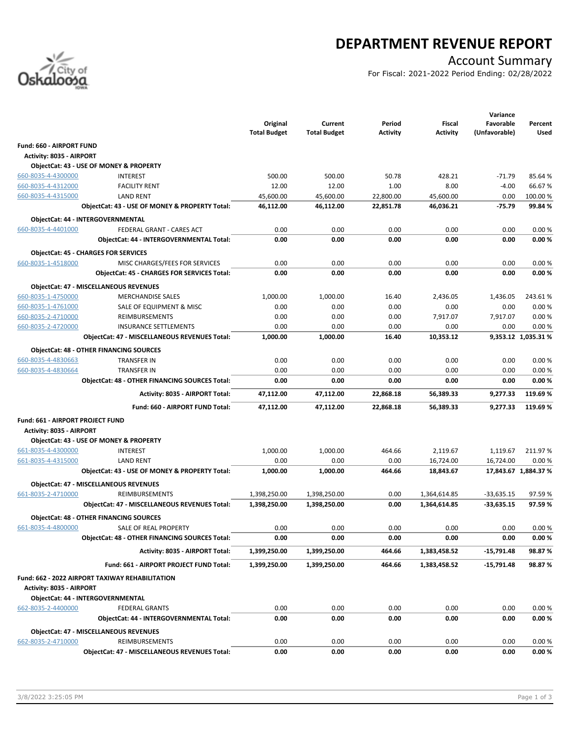

## **DEPARTMENT REVENUE REPORT**

## Account Summary

For Fiscal: 2021-2022 Period Ending: 02/28/2022

|                                          |                                                                           |                     |                     |           |                  | Variance         |                      |
|------------------------------------------|---------------------------------------------------------------------------|---------------------|---------------------|-----------|------------------|------------------|----------------------|
|                                          |                                                                           | Original            | Current             | Period    | Fiscal           | Favorable        | Percent              |
|                                          |                                                                           | <b>Total Budget</b> | <b>Total Budget</b> | Activity  | <b>Activity</b>  | (Unfavorable)    | Used                 |
| Fund: 660 - AIRPORT FUND                 |                                                                           |                     |                     |           |                  |                  |                      |
| <b>Activity: 8035 - AIRPORT</b>          |                                                                           |                     |                     |           |                  |                  |                      |
|                                          | ObjectCat: 43 - USE OF MONEY & PROPERTY                                   |                     |                     |           |                  |                  |                      |
| 660-8035-4-4300000                       | <b>INTEREST</b>                                                           | 500.00              | 500.00              | 50.78     | 428.21           | $-71.79$         | 85.64%               |
| 660-8035-4-4312000                       | <b>FACILITY RENT</b>                                                      | 12.00               | 12.00               | 1.00      | 8.00             | $-4.00$          | 66.67%               |
| 660-8035-4-4315000                       | <b>LAND RENT</b>                                                          | 45,600.00           | 45,600.00           | 22,800.00 | 45,600.00        | 0.00             | 100.00 %             |
|                                          | ObjectCat: 43 - USE OF MONEY & PROPERTY Total:                            | 46,112.00           | 46,112.00           | 22,851.78 | 46,036.21        | $-75.79$         | 99.84%               |
|                                          | ObjectCat: 44 - INTERGOVERNMENTAL                                         |                     |                     |           |                  |                  |                      |
| 660-8035-4-4401000                       | FEDERAL GRANT - CARES ACT                                                 | 0.00                | 0.00                | 0.00      | 0.00             | 0.00             | 0.00%                |
|                                          | ObjectCat: 44 - INTERGOVERNMENTAL Total:                                  | 0.00                | 0.00                | 0.00      | 0.00             | 0.00             | 0.00%                |
|                                          | <b>ObjectCat: 45 - CHARGES FOR SERVICES</b>                               |                     |                     |           |                  |                  |                      |
| 660-8035-1-4518000                       | MISC CHARGES/FEES FOR SERVICES                                            | 0.00                | 0.00                | 0.00      | 0.00             | 0.00             | 0.00%                |
|                                          | <b>ObjectCat: 45 - CHARGES FOR SERVICES Total:</b>                        | 0.00                | 0.00                | 0.00      | 0.00             | 0.00             | 0.00%                |
|                                          |                                                                           |                     |                     |           |                  |                  |                      |
|                                          | <b>ObjectCat: 47 - MISCELLANEOUS REVENUES</b><br><b>MERCHANDISE SALES</b> |                     |                     | 16.40     |                  |                  |                      |
| 660-8035-1-4750000<br>660-8035-1-4761000 | SALE OF EQUIPMENT & MISC                                                  | 1,000.00            | 1,000.00<br>0.00    | 0.00      | 2,436.05<br>0.00 | 1,436.05<br>0.00 | 243.61%<br>0.00%     |
| 660-8035-2-4710000                       | REIMBURSEMENTS                                                            | 0.00<br>0.00        | 0.00                | 0.00      | 7,917.07         | 7,917.07         | 0.00%                |
| 660-8035-2-4720000                       | <b>INSURANCE SETTLEMENTS</b>                                              | 0.00                | 0.00                | 0.00      | 0.00             | 0.00             | 0.00%                |
|                                          | <b>ObjectCat: 47 - MISCELLANEOUS REVENUES Total:</b>                      | 1,000.00            | 1,000.00            | 16.40     | 10,353.12        |                  | 9,353.12 1,035.31 %  |
|                                          |                                                                           |                     |                     |           |                  |                  |                      |
|                                          | <b>ObjectCat: 48 - OTHER FINANCING SOURCES</b>                            |                     |                     |           |                  |                  |                      |
| 660-8035-4-4830663                       | TRANSFER IN                                                               | 0.00                | 0.00                | 0.00      | 0.00             | 0.00             | 0.00%                |
| 660-8035-4-4830664                       | TRANSFER IN                                                               | 0.00                | 0.00                | 0.00      | 0.00             | 0.00             | 0.00%                |
|                                          | <b>ObjectCat: 48 - OTHER FINANCING SOURCES Total:</b>                     | 0.00                | 0.00                | 0.00      | 0.00             | 0.00             | 0.00%                |
|                                          | Activity: 8035 - AIRPORT Total:                                           | 47,112.00           | 47,112.00           | 22,868.18 | 56,389.33        | 9,277.33         | 119.69%              |
|                                          | Fund: 660 - AIRPORT FUND Total:                                           | 47,112.00           | 47,112.00           | 22,868.18 | 56,389.33        | 9,277.33         | 119.69%              |
|                                          |                                                                           |                     |                     |           |                  |                  |                      |
| Fund: 661 - AIRPORT PROJECT FUND         |                                                                           |                     |                     |           |                  |                  |                      |
| <b>Activity: 8035 - AIRPORT</b>          | ObjectCat: 43 - USE OF MONEY & PROPERTY                                   |                     |                     |           |                  |                  |                      |
| 661-8035-4-4300000                       | <b>INTEREST</b>                                                           | 1,000.00            | 1,000.00            | 464.66    | 2,119.67         | 1,119.67         | 211.97%              |
| 661-8035-4-4315000                       | <b>LAND RENT</b>                                                          | 0.00                | 0.00                | 0.00      | 16,724.00        | 16,724.00        | 0.00%                |
|                                          | ObjectCat: 43 - USE OF MONEY & PROPERTY Total:                            | 1,000.00            | 1,000.00            | 464.66    | 18,843.67        |                  | 17,843.67 1,884.37 % |
|                                          |                                                                           |                     |                     |           |                  |                  |                      |
|                                          | <b>ObjectCat: 47 - MISCELLANEOUS REVENUES</b>                             |                     |                     |           |                  |                  |                      |
| 661-8035-2-4710000                       | <b>REIMBURSEMENTS</b>                                                     | 1,398,250.00        | 1,398,250.00        | 0.00      | 1,364,614.85     | $-33,635.15$     | 97.59%               |
|                                          | ObjectCat: 47 - MISCELLANEOUS REVENUES Total:                             | 1,398,250.00        | 1,398,250.00        | 0.00      | 1,364,614.85     | $-33,635.15$     | 97.59%               |
|                                          | <b>ObjectCat: 48 - OTHER FINANCING SOURCES</b>                            |                     |                     |           |                  |                  |                      |
| 661-8035-4-4800000                       | SALE OF REAL PROPERTY                                                     | 0.00                | 0.00                | 0.00      | 0.00             | 0.00             | 0.00%                |
|                                          | ObjectCat: 48 - OTHER FINANCING SOURCES Total:                            | 0.00                | 0.00                | 0.00      | 0.00             | 0.00             | 0.00%                |
|                                          | Activity: 8035 - AIRPORT Total:                                           | 1,399,250.00        | 1,399,250.00        | 464.66    | 1,383,458.52     | $-15,791.48$     | 98.87%               |
|                                          | Fund: 661 - AIRPORT PROJECT FUND Total:                                   | 1,399,250.00        | 1,399,250.00        | 464.66    | 1,383,458.52     | $-15,791.48$     | 98.87%               |
|                                          |                                                                           |                     |                     |           |                  |                  |                      |
| Activity: 8035 - AIRPORT                 | Fund: 662 - 2022 AIRPORT TAXIWAY REHABILITATION                           |                     |                     |           |                  |                  |                      |
|                                          | ObjectCat: 44 - INTERGOVERNMENTAL                                         |                     |                     |           |                  |                  |                      |
| 662-8035-2-4400000                       | <b>FEDERAL GRANTS</b>                                                     | 0.00                | 0.00                | 0.00      | 0.00             | 0.00             | 0.00%                |
|                                          | ObjectCat: 44 - INTERGOVERNMENTAL Total:                                  | 0.00                | 0.00                | 0.00      | 0.00             | 0.00             | 0.00%                |
|                                          |                                                                           |                     |                     |           |                  |                  |                      |
|                                          | <b>ObjectCat: 47 - MISCELLANEOUS REVENUES</b>                             |                     |                     |           |                  |                  |                      |
| 662-8035-2-4710000                       | <b>REIMBURSEMENTS</b>                                                     | 0.00                | 0.00                | 0.00      | 0.00             | 0.00             | 0.00%                |
|                                          | ObjectCat: 47 - MISCELLANEOUS REVENUES Total:                             | 0.00                | 0.00                | 0.00      | 0.00             | 0.00             | 0.00%                |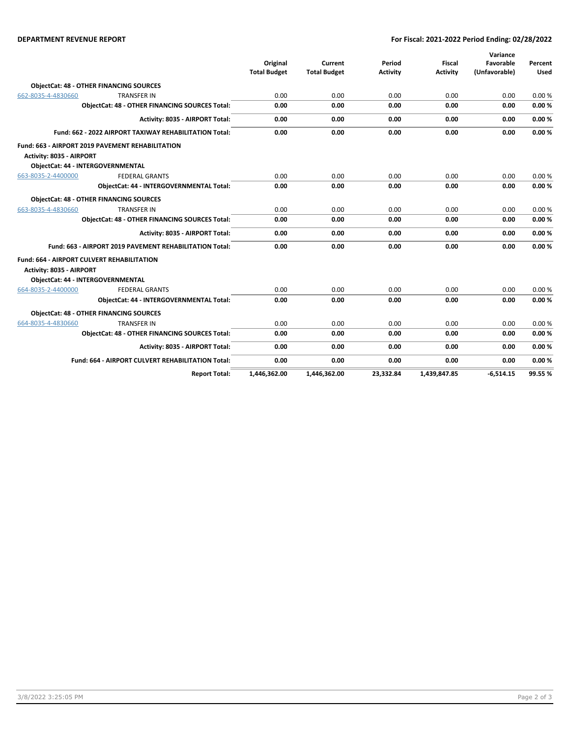### **DEPARTMENT REVENUE REPORT For Fiscal: 2021-2022 Period Ending: 02/28/2022**

|                                                        |                                                         |                     |                     |                 |                 | Variance      |             |
|--------------------------------------------------------|---------------------------------------------------------|---------------------|---------------------|-----------------|-----------------|---------------|-------------|
|                                                        |                                                         | Original            | Current             | Period          | <b>Fiscal</b>   | Favorable     | Percent     |
|                                                        |                                                         | <b>Total Budget</b> | <b>Total Budget</b> | <b>Activity</b> | <b>Activity</b> | (Unfavorable) | <b>Used</b> |
|                                                        | <b>ObjectCat: 48 - OTHER FINANCING SOURCES</b>          |                     |                     |                 |                 |               |             |
| 662-8035-4-4830660                                     | <b>TRANSFER IN</b>                                      | 0.00                | 0.00                | 0.00            | 0.00            | 0.00          | 0.00%       |
|                                                        | ObjectCat: 48 - OTHER FINANCING SOURCES Total:          | 0.00                | 0.00                | 0.00            | 0.00            | 0.00          | 0.00%       |
|                                                        | Activity: 8035 - AIRPORT Total:                         | 0.00                | 0.00                | 0.00            | 0.00            | 0.00          | 0.00%       |
| Fund: 662 - 2022 AIRPORT TAXIWAY REHABILITATION Total: |                                                         | 0.00                | 0.00                | 0.00            | 0.00            | 0.00          | 0.00%       |
|                                                        | Fund: 663 - AIRPORT 2019 PAVEMENT REHABILITATION        |                     |                     |                 |                 |               |             |
| Activity: 8035 - AIRPORT                               |                                                         |                     |                     |                 |                 |               |             |
|                                                        | <b>ObjectCat: 44 - INTERGOVERNMENTAL</b>                |                     |                     |                 |                 |               |             |
| 663-8035-2-4400000                                     | <b>FEDERAL GRANTS</b>                                   | 0.00                | 0.00                | 0.00            | 0.00            | 0.00          | 0.00%       |
|                                                        | ObjectCat: 44 - INTERGOVERNMENTAL Total:                | 0.00                | 0.00                | 0.00            | 0.00            | 0.00          | 0.00%       |
|                                                        | <b>ObjectCat: 48 - OTHER FINANCING SOURCES</b>          |                     |                     |                 |                 |               |             |
| 663-8035-4-4830660                                     | <b>TRANSFER IN</b>                                      | 0.00                | 0.00                | 0.00            | 0.00            | 0.00          | 0.00%       |
|                                                        | <b>ObjectCat: 48 - OTHER FINANCING SOURCES Total:</b>   | 0.00                | 0.00                | 0.00            | 0.00            | 0.00          | 0.00%       |
|                                                        | Activity: 8035 - AIRPORT Total:                         | 0.00                | 0.00                | 0.00            | 0.00            | 0.00          | 0.00%       |
|                                                        | Fund: 663 - AIRPORT 2019 PAVEMENT REHABILITATION Total: | 0.00                | 0.00                | 0.00            | 0.00            | 0.00          | 0.00%       |
|                                                        | <b>Fund: 664 - AIRPORT CULVERT REHABILITATION</b>       |                     |                     |                 |                 |               |             |
| Activity: 8035 - AIRPORT                               |                                                         |                     |                     |                 |                 |               |             |
|                                                        | ObjectCat: 44 - INTERGOVERNMENTAL                       |                     |                     |                 |                 |               |             |
| 664-8035-2-4400000                                     | <b>FEDERAL GRANTS</b>                                   | 0.00                | 0.00                | 0.00            | 0.00            | 0.00          | 0.00%       |
|                                                        | <b>ObjectCat: 44 - INTERGOVERNMENTAL Total:</b>         | 0.00                | 0.00                | 0.00            | 0.00            | 0.00          | 0.00%       |
|                                                        | <b>ObjectCat: 48 - OTHER FINANCING SOURCES</b>          |                     |                     |                 |                 |               |             |
| 664-8035-4-4830660                                     | <b>TRANSFER IN</b>                                      | 0.00                | 0.00                | 0.00            | 0.00            | 0.00          | 0.00%       |
|                                                        | <b>ObjectCat: 48 - OTHER FINANCING SOURCES Total:</b>   | 0.00                | 0.00                | 0.00            | 0.00            | 0.00          | 0.00%       |
|                                                        | Activity: 8035 - AIRPORT Total:                         | 0.00                | 0.00                | 0.00            | 0.00            | 0.00          | 0.00%       |
|                                                        | Fund: 664 - AIRPORT CULVERT REHABILITATION Total:       | 0.00                | 0.00                | 0.00            | 0.00            | 0.00          | 0.00%       |
|                                                        | <b>Report Total:</b>                                    | 1.446.362.00        | 1.446.362.00        | 23.332.84       | 1.439.847.85    | $-6.514.15$   | 99.55%      |